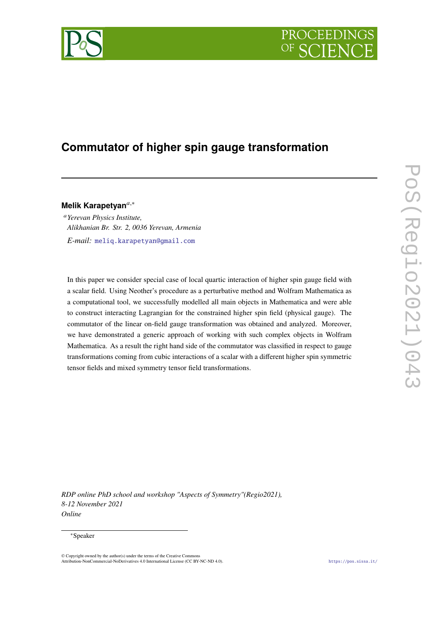



# **Commutator of higher spin gauge transformation**

**Melik Karapetyan**,<sup>∗</sup>

*Yerevan Physics Institute, Alikhanian Br. Str. 2, 0036 Yerevan, Armenia E-mail:* [meliq.karapetyan@gmail.com](mailto:meliq.karapetyan@gmail.com)

In this paper we consider special case of local quartic interaction of higher spin gauge field with a scalar field. Using Neother's procedure as a perturbative method and Wolfram Mathematica as a computational tool, we successfully modelled all main objects in Mathematica and were able to construct interacting Lagrangian for the constrained higher spin field (physical gauge). The commutator of the linear on-field gauge transformation was obtained and analyzed. Moreover, we have demonstrated a generic approach of working with such complex objects in Wolfram Mathematica. As a result the right hand side of the commutator was classified in respect to gauge transformations coming from cubic interactions of a scalar with a different higher spin symmetric tensor fields and mixed symmetry tensor field transformations.

*RDP online PhD school and workshop "Aspects of Symmetry"(Regio2021), 8-12 November 2021 Online*

# <sup>∗</sup>Speaker

<sup>©</sup> Copyright owned by the author(s) under the terms of the Creative Commons Attribution-NonCommercial-NoDerivatives 4.0 International License (CC BY-NC-ND 4.0). <https://pos.sissa.it/>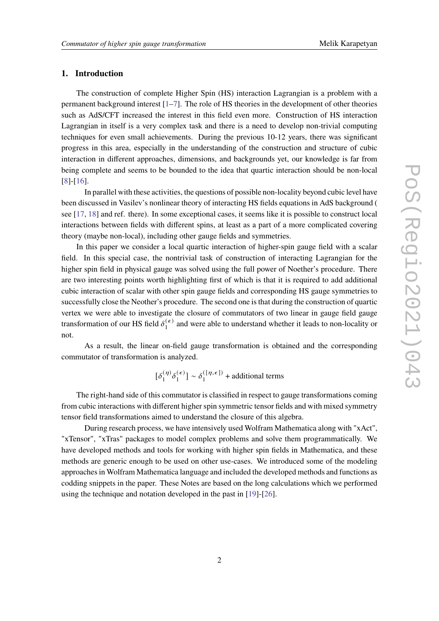# **1. Introduction**

The construction of complete Higher Spin (HS) interaction Lagrangian is a problem with a permanent background interest [\[1–](#page-8-0)[7\]](#page-9-0). The role of HS theories in the development of other theories such as AdS/CFT increased the interest in this field even more. Construction of HS interaction Lagrangian in itself is a very complex task and there is a need to develop non-trivial computing techniques for even small achievements. During the previous 10-12 years, there was significant progress in this area, especially in the understanding of the construction and structure of cubic interaction in different approaches, dimensions, and backgrounds yet, our knowledge is far from being complete and seems to be bounded to the idea that quartic interaction should be non-local [\[8\]](#page-9-1)-[\[16\]](#page-9-2).

In parallel with these activities, the questions of possible non-locality beyond cubic level have been discussed in Vasilev's nonlinear theory of interacting HS fields equations in AdS background ( see [\[17,](#page-9-3) [18\]](#page-9-4) and ref. there). In some exceptional cases, it seems like it is possible to construct local interactions between fields with different spins, at least as a part of a more complicated covering theory (maybe non-local), including other gauge fields and symmetries.

In this paper we consider a local quartic interaction of higher-spin gauge field with a scalar field. In this special case, the nontrivial task of construction of interacting Lagrangian for the higher spin field in physical gauge was solved using the full power of Noether's procedure. There are two interesting points worth highlighting first of which is that it is required to add additional cubic interaction of scalar with other spin gauge fields and corresponding HS gauge symmetries to successfully close the Neother's procedure. The second one is that during the construction of quartic vertex we were able to investigate the closure of commutators of two linear in gauge field gauge transformation of our HS field  $\delta_1^{(\epsilon)}$  $\binom{1}{k}$  and were able to understand whether it leads to non-locality or not.

As a result, the linear on-field gauge transformation is obtained and the corresponding commutator of transformation is analyzed.

> $\left[\delta_1^{(\eta)}\right]$  $\frac{(\eta)}{1} \delta_1^{(\epsilon)}$  $\begin{bmatrix} 1 \end{bmatrix} \sim \delta_1^{([\eta, \epsilon])}$  $_1^{(\lfloor \eta, \epsilon \rfloor)}$  + additional terms

The right-hand side of this commutator is classified in respect to gauge transformations coming from cubic interactions with different higher spin symmetric tensor fields and with mixed symmetry tensor field transformations aimed to understand the closure of this algebra.

During research process, we have intensively used Wolfram Mathematica along with "xAct", "xTensor", "xTras" packages to model complex problems and solve them programmatically. We have developed methods and tools for working with higher spin fields in Mathematica, and these methods are generic enough to be used on other use-cases. We introduced some of the modeling approaches in Wolfram Mathematica language and included the developed methods and functions as codding snippets in the paper. These Notes are based on the long calculations which we performed using the technique and notation developed in the past in [\[19\]](#page-9-5)-[\[26\]](#page-10-0).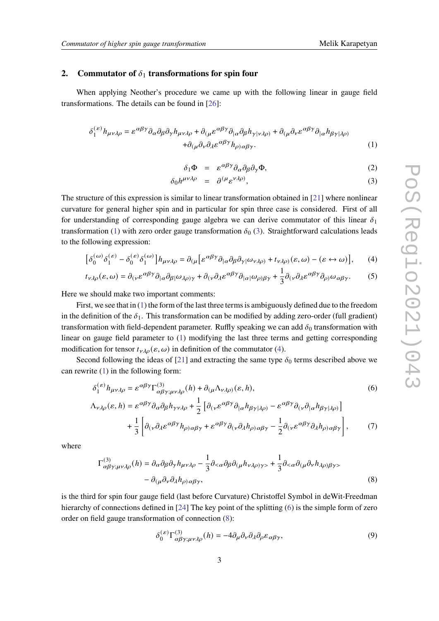# **2.** Commutator of  $\delta_1$  transformations for spin four

When applying Neother's procedure we came up with the following linear in gauge field transformations. The details can be found in [\[26\]](#page-10-0):

$$
\delta_1^{(\varepsilon)} h_{\mu\nu\lambda\rho} = \varepsilon^{\alpha\beta\gamma} \partial_\alpha \partial_\beta \partial_\gamma h_{\mu\nu\lambda\rho} + \partial_{(\mu} \varepsilon^{\alpha\beta\gamma} \partial_{|\alpha} \partial_\beta h_{\gamma|\nu\lambda\rho)} + \partial_{(\mu} \partial_\nu \varepsilon^{\alpha\beta\gamma} \partial_{|\alpha} h_{\beta\gamma|\lambda\rho)} + \partial_{(\mu} \partial_\nu \partial_\lambda \varepsilon^{\alpha\beta\gamma} h_{\rho)\alpha\beta\gamma}.
$$
 (1)

<span id="page-2-2"></span><span id="page-2-1"></span><span id="page-2-0"></span>
$$
\delta_1 \Phi = \varepsilon^{\alpha \beta \gamma} \partial_\alpha \partial_\beta \partial_\gamma \Phi, \tag{2}
$$

$$
\delta_0 h^{\mu\nu\lambda\rho} = \partial^{(\mu} \varepsilon^{\nu\lambda\rho)}, \tag{3}
$$

The structure of this expression is similar to linear transformation obtained in [\[21\]](#page-10-1) where nonlinear curvature for general higher spin and in particular for spin three case is considered. First of all for understanding of corresponding gauge algebra we can derive commutator of this linear  $\delta_1$ transformation [\(1\)](#page-2-0) with zero order gauge transformation  $\delta_0$  [\(3\)](#page-2-1). Straightforward calculations leads to the following expression:

$$
\left[\delta_0^{(\omega)}\delta_1^{(\varepsilon)} - \delta_0^{(\varepsilon)}\delta_1^{(\omega)}\right]h_{\mu\nu\lambda\rho} = \partial_{(\mu}\left[\varepsilon^{\alpha\beta\gamma}\partial_{|\alpha}\partial_{\beta}\partial_{\gamma}(\omega_{\nu\lambda\rho)} + t_{\nu\lambda\rho}(\varepsilon,\omega) - (\varepsilon \leftrightarrow \omega)\right],\tag{4}
$$

$$
t_{\nu\lambda\rho}(\varepsilon,\omega) = \partial_{(\nu}\varepsilon^{\alpha\beta\gamma}\partial_{|\alpha}\partial_{\beta}(\omega_{\lambda\rho)\gamma} + \partial_{(\nu}\partial_{\lambda}\varepsilon^{\alpha\beta\gamma}\partial_{|\alpha|}\omega_{\rho)\beta\gamma} + \frac{1}{3}\partial_{(\nu}\partial_{\lambda}\varepsilon^{\alpha\beta\gamma}\partial_{\rho)}\omega_{\alpha\beta\gamma}.\tag{5}
$$

Here we should make two important comments:

First, we see that in [\(1\)](#page-2-0) the form of the last three terms is ambiguously defined due to the freedom in the definition of the  $\delta_1$ . This transformation can be modified by adding zero-order (full gradient) transformation with field-dependent parameter. Ruffly speaking we can add  $\delta_0$  transformation with linear on gauge field parameter to [\(1\)](#page-2-0) modifying the last three terms and getting corresponding modification for tensor  $t_{\nu\lambda\rho}(\varepsilon,\omega)$  in definition of the commutator [\(4\)](#page-2-2).

Second following the ideas of [\[21\]](#page-10-1) and extracting the same type  $\delta_0$  terms described above we can rewrite [\(1\)](#page-2-0) in the following form:

$$
\delta_{1}^{(\varepsilon)} h_{\mu\nu\lambda\rho} = \varepsilon^{\alpha\beta\gamma} \Gamma_{\alpha\beta\gamma;\mu\nu\lambda\rho}^{(3)}(h) + \partial_{(\mu}\Lambda_{\nu\lambda\rho)}(\varepsilon, h),
$$
\n
$$
\Lambda_{\nu\lambda\rho}(\varepsilon, h) = \varepsilon^{\alpha\beta\gamma} \partial_{\alpha}\partial_{\beta} h_{\gamma\nu\lambda\rho} + \frac{1}{2} \left[ \partial_{(\nu}\varepsilon^{\alpha\beta\gamma} \partial_{|\alpha} h_{\beta\gamma|\lambda\rho)} - \varepsilon^{\alpha\beta\gamma} \partial_{(\nu}\partial_{|\alpha} h_{\beta\gamma|\lambda\rho)} \right]
$$
\n
$$
+ \frac{1}{3} \left[ \partial_{(\nu}\partial_{\lambda}\varepsilon^{\alpha\beta\gamma} h_{\rho)\alpha\beta\gamma} + \varepsilon^{\alpha\beta\gamma} \partial_{(\nu}\partial_{\lambda} h_{\rho)\alpha\beta\gamma} - \frac{1}{2} \partial_{(\nu}\varepsilon^{\alpha\beta\gamma} \partial_{\lambda} h_{\rho)\alpha\beta\gamma} \right],
$$
\n(7)

where

$$
\Gamma^{(3)}_{\alpha\beta\gamma;\mu\nu\lambda\rho}(h) = \partial_{\alpha}\partial_{\beta}\partial_{\gamma}h_{\mu\nu\lambda\rho} - \frac{1}{3}\partial_{<\alpha}\partial_{\beta}\partial_{(\mu}h_{\nu\lambda\rho)\gamma>} + \frac{1}{3}\partial_{<\alpha}\partial_{(\mu}\partial_{\nu}h_{\lambda\rho)\beta\gamma} - \partial_{(\mu}\partial_{\nu}\partial_{\lambda}h_{\rho)\alpha\beta\gamma},
$$
\n(8)

is the third for spin four gauge field (last before Curvature) Christoffel Symbol in deWit-Freedman hierarchy of connections defined in [\[24\]](#page-10-2) The key point of the splitting [\(6\)](#page-2-3) is the simple form of zero order on field gauge transformation of connection [\(8\)](#page-2-4):

<span id="page-2-5"></span><span id="page-2-4"></span><span id="page-2-3"></span>
$$
\delta_0^{(\varepsilon)} \Gamma^{(3)}_{\alpha\beta\gamma;\mu\nu\lambda\rho}(h) = -4\partial_\mu\partial_\nu\partial_\lambda\partial_\rho\varepsilon_{\alpha\beta\gamma},\tag{9}
$$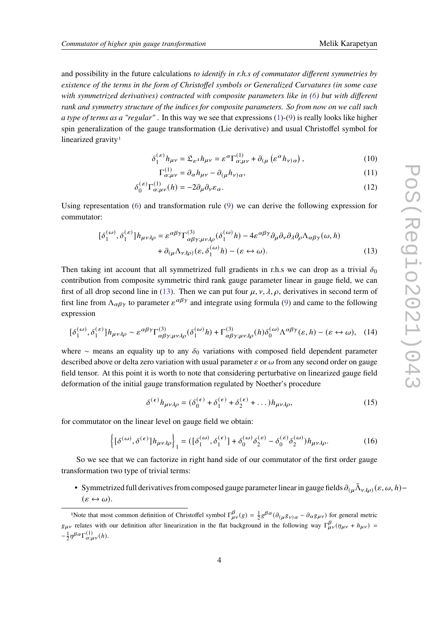and possibility in the future calculations *to identify in r.h.s of commutator different symmetries by existence of the terms in the form of Christoffel symbols or Generalized Curvatures (in some case with symmetrized derivatives) contracted with composite parameters like in [\(6\)](#page-2-3) but with different rank and symmetry structure of the indices for composite parameters. So from now on we call such a type of terms as a "regular"* . In this way we see that expressions [\(1\)](#page-2-0)-[\(9\)](#page-2-5) is really looks like higher spin generalization of the gauge transformation (Lie derivative) and usual Christoffel symbol for linearized gravity<sup>[1](#page-3-0)</sup>

$$
\delta_1^{(\varepsilon)} h_{\mu\nu} = \mathfrak{L}_{\varepsilon^{\lambda}} h_{\mu\nu} = \varepsilon^{\alpha} \Gamma^{(1)}_{\alpha;\mu\nu} + \partial_{(\mu} (\varepsilon^{\alpha} h_{\nu)\alpha}), \qquad (10)
$$

<span id="page-3-1"></span>
$$
\Gamma_{\alpha;\mu\nu}^{(1)} = \partial_{\alpha} h_{\mu\nu} - \partial_{(\mu} h_{\nu)\alpha},\tag{11}
$$

$$
\delta_0^{(\varepsilon)} \Gamma_{\alpha;\mu\nu}^{(1)}(h) = -2\partial_\mu \partial_\nu \varepsilon_\alpha. \tag{12}
$$

Using representation [\(6\)](#page-2-3) and transformation rule [\(9\)](#page-2-5) we can derive the following expression for commutator:

$$
[\delta_1^{(\omega)}, \delta_1^{(\varepsilon)}] h_{\mu\nu\lambda\rho} = \varepsilon^{\alpha\beta\gamma} \Gamma^{(3)}_{\alpha\beta\gamma;\mu\nu\lambda\rho} (\delta_1^{(\omega)} h) - 4\varepsilon^{\alpha\beta\gamma} \partial_\mu \partial_\nu \partial_\lambda \partial_\rho \Lambda_{\alpha\beta\gamma}(\omega, h) + \partial_{(\mu} \Lambda_{\nu\lambda\rho)} (\varepsilon, \delta_1^{(\omega)} h) - (\varepsilon \leftrightarrow \omega).
$$
 (13)

Then taking int account that all symmetrized full gradients in r.h.s we can drop as a trivial  $\delta_0$ contribution from composite symmetric third rank gauge parameter linear in gauge field, we can first of all drop second line in [\(13\)](#page-3-1). Then we can put four  $\mu$ ,  $\nu$ ,  $\lambda$ ,  $\rho$ , derivatives in second term of first line from  $\Lambda_{\alpha\beta\gamma}$  to parameter  $\varepsilon^{\alpha\beta\gamma}$  and integrate using formula [\(9\)](#page-2-5) and came to the following expression

$$
[\delta_1^{(\omega)}, \delta_1^{(\varepsilon)}] h_{\mu\nu\lambda\rho} \sim \varepsilon^{\alpha\beta\gamma} \Gamma^{(3)}_{\alpha\beta\gamma;\mu\nu\lambda\rho} (\delta_1^{(\omega)} h) + \Gamma^{(3)}_{\alpha\beta\gamma;\mu\nu\lambda\rho} (h) \delta_0^{(\omega)} \Lambda^{\alpha\beta\gamma}(\varepsilon, h) - (\varepsilon \leftrightarrow \omega), \quad (14)
$$

where ∼ means an equality up to any  $\delta_0$  variations with composed field dependent parameter described above or delta zero variation with usual parameter  $\varepsilon$  or  $\omega$  from any second order on gauge field tensor. At this point it is worth to note that considering perturbative on linearized gauge field deformation of the initial gauge transformation regulated by Noether's procedure

$$
\delta^{(\epsilon)}h_{\mu\nu\lambda\rho} = (\delta_0^{(\epsilon)} + \delta_1^{(\epsilon)} + \delta_2^{(\epsilon)} + \dots)h_{\mu\nu\lambda\rho},\tag{15}
$$

for commutator on the linear level on gauge field we obtain:

<span id="page-3-2"></span>
$$
\left\{ [\delta^{(\omega)}, \delta^{(\epsilon)}] h_{\mu\nu\lambda\rho} \right\}_1 = ([\delta_1^{(\omega)}, \delta_1^{(\epsilon)}] + \delta_0^{(\omega)} \delta_2^{(\epsilon)} - \delta_0^{(\epsilon)} \delta_2^{(\omega)}) h_{\mu\nu\lambda\rho}.
$$
 (16)

So we see that we can factorize in right hand side of our commutator of the first order gauge transformation two type of trivial terms:

• Symmetrized full derivatives from composed gauge parameter linear in gauge fields  $\partial_{(\mu}\tilde{\Lambda}_{\nu\lambda\rho)}(\varepsilon,\omega,h)$  $(\varepsilon \leftrightarrow \omega).$ 

<span id="page-3-0"></span><sup>&</sup>lt;sup>1</sup>Note that most common definition of Christoffel symbol  $\Gamma_{\mu\nu}^{\beta}(g) = \frac{1}{2}g^{\beta\alpha}(\partial_{(\mu}g_{\nu)\alpha} - \partial_{\alpha}g_{\mu\nu})$  for general metric  $g_{\mu\nu}$  relates with our definition after linearization in the flat background in the following way  $\Gamma^{\beta}_{\mu\nu}(\eta_{\mu\nu} + h_{\mu\nu})$  $-\frac{1}{2}\eta^{\beta\alpha}\Gamma^{(1)}_{\alpha;\mu\nu}(h).$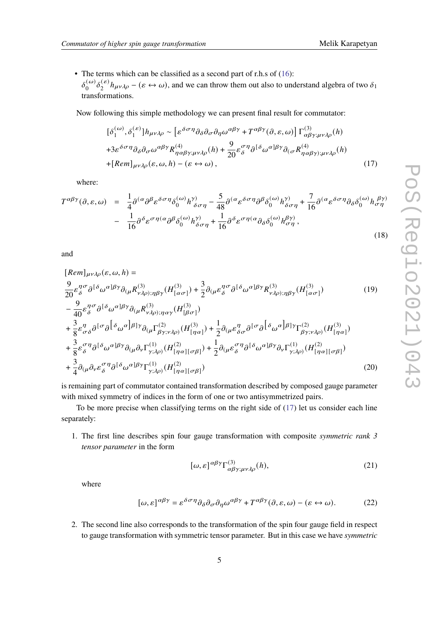• The terms which can be classified as a second part of r.h.s of  $(16)$ :  $\delta^{(\omega)}$  $\binom{\omega}{0}$   $\delta_2^{(\varepsilon)}$  $\binom{\varepsilon}{2} h_{\mu\nu\lambda\rho} - (\varepsilon \leftrightarrow \omega)$ , and we can throw them out also to understand algebra of two  $\delta_1$ transformations.

Now following this simple methodology we can present final result for commutator:

<span id="page-4-0"></span>
$$
[\delta_1^{(\omega)}, \delta_1^{(\varepsilon)}] h_{\mu\nu\lambda\rho} \sim [\varepsilon^{\delta\sigma\eta} \partial_\delta \partial_\sigma \partial_\eta \omega^{\alpha\beta\gamma} + T^{\alpha\beta\gamma} (\partial, \varepsilon, \omega)] \Gamma^{(3)}_{\alpha\beta\gamma;\mu\nu\lambda\rho}(h) + 3\varepsilon^{\delta\sigma\eta} \partial_\delta \partial_\sigma \omega^{\alpha\beta\gamma} R^{(4)}_{\eta\alpha\beta\gamma;\mu\nu\lambda\rho}(h) + \frac{9}{20} \varepsilon^{\sigma\eta} \partial^{[\delta} \omega^{\alpha]\beta\gamma} \partial_{(\sigma} R^{(4)}_{\eta\alpha\beta\gamma);\mu\nu\lambda\rho}(h) + [Rem]_{\mu\nu\lambda\rho} (\varepsilon, \omega, h) - (\varepsilon \leftrightarrow \omega),
$$
 (17)

where:

$$
T^{\alpha\beta\gamma}(\partial,\varepsilon,\omega) = \frac{1}{4}\partial^{(\alpha}\partial^{\beta}\varepsilon^{\delta\sigma\eta}\delta_{0}^{(\omega)}h^{\gamma)}_{\delta\sigma\eta} - \frac{5}{48}\partial^{(\alpha}\varepsilon^{\delta\sigma\eta}\partial^{\beta}\delta_{0}^{(\omega)}h^{\gamma)}_{\delta\sigma\eta} + \frac{7}{16}\partial^{(\alpha}\varepsilon^{\delta\sigma\eta}\partial_{\delta}\delta_{0}^{(\omega)}h^{\beta\gamma)}_{\sigma\eta} - \frac{1}{16}\partial^{\delta}\varepsilon^{\sigma\eta(\alpha}\partial^{\beta}\delta_{0}^{(\omega)}h^{\gamma)}_{\delta\sigma\eta} + \frac{1}{16}\partial^{\delta}\varepsilon^{\sigma\eta(\alpha}\partial_{\delta}\delta_{0}^{(\omega)}h^{\beta\gamma)}_{\sigma\eta},
$$
\n(18)

and

$$
[Rem]_{\mu\nu\lambda\rho}(\varepsilon,\omega,h) =
$$
\n
$$
\frac{9}{20}\varepsilon_{\delta}^{\eta\sigma}\partial^{[\delta}\omega^{\alpha]\beta\gamma}\partial_{(\mu}R_{\nu\lambda\rho);\eta\beta\gamma}^{(3)}(H_{[\alpha\sigma]}^{(3)}) + \frac{3}{2}\partial_{(\mu}\varepsilon_{\delta}^{\eta\sigma}\partial^{[\delta}\omega^{\alpha]\beta\gamma}R_{\nu\lambda\rho);\eta\beta\gamma}^{(3)}(H_{[\alpha\sigma]}^{(3)})\n- \frac{9}{40}\varepsilon_{\delta}^{\eta\sigma}\partial^{[\delta}\omega^{\alpha]\beta\gamma}\partial_{(\mu}R_{\nu\lambda\rho);\eta\alpha\gamma}^{(3)}(H_{[\beta\sigma]}^{(3)})\n+ \frac{3}{8}\varepsilon_{\sigma\delta}^{\eta}\partial^{[\sigma}\partial^{[\delta}\omega^{\alpha]\beta]\gamma}\partial_{(\mu}\Gamma_{\beta\gamma;\nu\lambda\rho)}^{(2)}(H_{[\eta\alpha]}^{(3)}) + \frac{1}{2}\partial_{(\mu}\varepsilon_{\delta\sigma}^{\eta}\partial^{[\sigma}\partial^{[\delta}\omega^{\alpha]\beta]\gamma}\Gamma_{\beta\gamma;\nu\lambda\rho)}^{(2)}(H_{[\eta\alpha]}^{(3)})\n+ \frac{3}{8}\varepsilon_{\delta}^{\sigma}\partial^{[\delta}\omega^{\alpha]\beta\gamma}\partial_{(\mu}\partial_{\nu}\Gamma_{\nu\lambda\rho)}^{(1)}(H_{[\nu\alpha][\sigma\beta]}^{(2)}) + \frac{1}{2}\partial_{(\mu}\varepsilon_{\delta}^{\sigma}\partial^{[\delta}\omega^{\alpha]\beta\gamma}\partial_{\nu}\Gamma_{\nu\lambda\rho}^{(1)}(H_{[\nu\alpha][\sigma\beta]}^{(2)})
$$
\n(19)

$$
+\frac{1}{8}\varepsilon_{\delta}^{\varepsilon} \partial^{\varepsilon} \omega^{\varepsilon} \omega^{\varepsilon} \partial_{(\mu} \partial_{\nu} \Gamma_{\gamma;\lambda\rho)} (H_{[\eta\alpha][\sigma\beta]}^{\varepsilon}) + \frac{1}{2} \partial_{(\mu}\varepsilon_{\delta}^{\varepsilon} \partial^{\varepsilon} \omega^{\varepsilon} \omega^{\varepsilon} \partial_{\nu} \Gamma_{\gamma;\lambda\rho)} (H_{[\eta\alpha][\sigma\beta]}^{\varepsilon})
$$
  
+ 
$$
\frac{3}{4} \partial_{(\mu}\partial_{\nu}\varepsilon_{\delta}^{\sigma} \partial_{\theta} [\delta \omega^{\alpha}]\beta^{\gamma} \Gamma_{\gamma;\lambda\rho)}^{(1)} (H_{[\eta\alpha][\sigma\beta]}^{(2)})
$$
(20)

is remaining part of commutator contained transformation described by composed gauge parameter with mixed symmetry of indices in the form of one or two antisymmetrized pairs.

To be more precise when classifying terms on the right side of [\(17\)](#page-4-0) let us consider each line separately:

1. The first line describes spin four gauge transformation with composite *symmetric rank 3 tensor parameter* in the form

<span id="page-4-1"></span>
$$
[\omega, \varepsilon]^{\alpha\beta\gamma} \Gamma^{(3)}_{\alpha\beta\gamma; \mu\nu\lambda\rho}(h), \tag{21}
$$

where

$$
[\omega,\varepsilon]^{\alpha\beta\gamma} = \varepsilon^{\delta\sigma\eta}\partial_{\delta}\partial_{\sigma}\partial_{\eta}\omega^{\alpha\beta\gamma} + T^{\alpha\beta\gamma}(\partial,\varepsilon,\omega) - (\varepsilon \leftrightarrow \omega). \tag{22}
$$

2. The second line also corresponds to the transformation of the spin four gauge field in respect to gauge transformation with symmetric tensor parameter. But in this case we have *symmetric*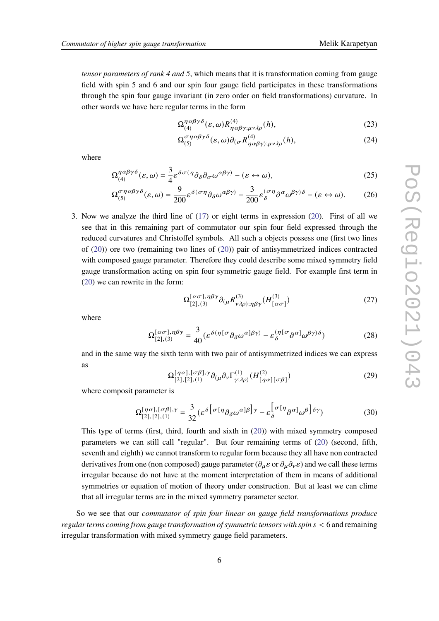*tensor parameters of rank 4 and 5*, which means that it is transformation coming from gauge field with spin 5 and 6 and our spin four gauge field participates in these transformations through the spin four gauge invariant (in zero order on field transformations) curvature. In other words we have here regular terms in the form

$$
\Omega_{(4)}^{\eta \alpha \beta \gamma \delta}(\varepsilon, \omega) R_{\eta \alpha \beta \gamma; \mu \nu \lambda \rho}^{(4)}(h), \tag{23}
$$

$$
\Omega_{(5)}^{\sigma\eta\alpha\beta\gamma\delta}(\varepsilon,\omega)\partial_{(\sigma}R^{(4)}_{\eta\alpha\beta\gamma);\mu\nu\lambda\rho}(h),\tag{24}
$$

where

$$
\Omega_{(4)}^{\eta\alpha\beta\gamma\delta}(\varepsilon,\omega) = \frac{3}{4}\varepsilon^{\delta\sigma(\eta}\partial_{\delta}\partial_{\sigma}\omega^{\alpha\beta\gamma)} - (\varepsilon \leftrightarrow \omega),\tag{25}
$$

$$
\Omega_{(5)}^{\sigma\eta\alpha\beta\gamma\delta}(\varepsilon,\omega) = \frac{9}{200} \varepsilon^{\delta(\sigma\eta} \partial_{\delta}\omega^{\alpha\beta\gamma)} - \frac{3}{200} \varepsilon_{\delta}^{(\sigma\eta} \partial^{\alpha}\omega^{\beta\gamma)\delta} - (\varepsilon \leftrightarrow \omega). \tag{26}
$$

3. Now we analyze the third line of [\(17\)](#page-4-0) or eight terms in expression [\(20\)](#page-4-1). First of all we see that in this remaining part of commutator our spin four field expressed through the reduced curvatures and Christoffel symbols. All such a objects possess one (first two lines of [\(20\)](#page-4-1)) ore two (remaining two lines of [\(20\)](#page-4-1)) pair of antisymmetrized indices contracted with composed gauge parameter. Therefore they could describe some mixed symmetry field gauge transformation acting on spin four symmetric gauge field. For example first term in [\(20\)](#page-4-1) we can rewrite in the form:

$$
\Omega_{[2],(3)}^{[\alpha\sigma],\eta\beta\gamma}\partial_{(\mu}R_{\nu\lambda\rho);\eta\beta\gamma}^{(3)}(H_{[\alpha\sigma]}^{(3)})\tag{27}
$$

where

$$
\Omega_{[2],(3)}^{[\alpha\sigma],\eta\beta\gamma} = \frac{3}{40} \left( \varepsilon^{\delta(\eta[\sigma} \partial_{\delta}\omega^{\alpha]\beta\gamma)} - \varepsilon_{\delta}^{(\eta[\sigma} \partial^{\alpha]}\omega^{\beta\gamma)\delta} \right)
$$
(28)

and in the same way the sixth term with two pair of antisymmetrized indices we can express as

$$
\Omega^{[\eta\alpha],[\sigma\beta],\gamma}_{[2],[2],[1)} \partial_{(\mu}\partial_{\nu}\Gamma^{(1)}_{\gamma;\lambda\rho)}(H^{(2)}_{[\eta\alpha][\sigma\beta]})
$$
\n(29)

where composit parameter is

$$
\Omega^{[\eta\alpha],[\sigma\beta],\gamma}_{[2],[2],[1]} = \frac{3}{32} (\varepsilon^{\delta} [\sigma[\eta_{\partial_{\delta}\omega}\alpha]\beta] \gamma - \varepsilon_{\delta}^{\left[\sigma[\eta_{\partial}\alpha]_{\omega}\beta\right]\delta\gamma})
$$
(30)

This type of terms (first, third, fourth and sixth in [\(20\)](#page-4-1)) with mixed symmetry composed parameters we can still call "regular". But four remaining terms of [\(20\)](#page-4-1) (second, fifth, seventh and eighth) we cannot transform to regular form because they all have non contracted derivatives from one (non composed) gauge parameter ( $\partial_{\mu} \varepsilon$  or  $\partial_{\mu} \partial_{\nu} \varepsilon$ ) and we call these terms irregular because do not have at the moment interpretation of them in means of additional symmetries or equation of motion of theory under construction. But at least we can clime that all irregular terms are in the mixed symmetry parameter sector.

So we see that our *commutator of spin four linear on gauge field transformations produce regular terms coming from gauge transformation of symmetric tensors with spin* < 6 and remaining irregular transformation with mixed symmetry gauge field parameters.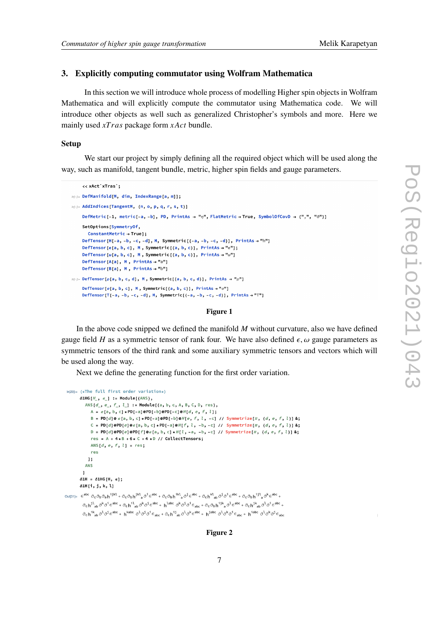# **3. Explicitly computing commutator using Wolfram Mathematica**

In this section we will introduce whole process of modelling Higher spin objects in Wolfram Mathematica and will explicitly compute the commutator using Mathematica code. We will introduce other objects as well such as generalized Christopher's symbols and more. Here we mainly used  $xTras$  package form  $xAct$  bundle.

# **Setup**

We start our project by simply defining all the required object which will be used along the way, such as manifold, tangent bundle, metric, higher spin fields and gauge parameters.

```
<< xAct'xTras';
In(=):= DefManifold[M, dim, IndexRange[a, m]];
In[#]:= AddIndices[TangentM, {n, o, p, q, r, s, t}]
     DefMetric [-1, metric [-a, -b], PD, PrintAs \rightarrow "n", FlatMetric \rightarrow True, SymbolOfCovD \rightarrow {",", "\partial"}]
     SetOntions[SymmetryOf.
        ConstantMetric \rightarrow True];
     DefTensor [H[-a, -b, -c, -d], M, Symmetric [-a, -b, -c, -d]], PrintAs \rightarrow "h"]
     DefTensor[\varepsilon[a, b, c], M, Symmetric[\{a, b, c\}], PrintAs \rightarrow "\varepsilon"];
     DefTensor[\omega[a, b, c], M, Symmetric[{a, b, c}], PrintAs → "\omega"]
     DefTensor[A[a], M, PrintAs \rightarrow "a"]
     DefTensor[B[a], M, PrintAs \rightarrow "b"]
\mathbb{E}[\mathbb{E}^2] = \mathsf{DefTensor}[\rho[a, b, c, d], M, Symmetric[\{a, b, c, d\}], PrintAs \rightarrow "p"]DefTensor[\sigma[a, b, c], M, Symmetric[{a, b, c}], PrintAs → "\sigma"]
     DefTensor[T[-a, -b, -c, -d], M, Symmetric[(-a, -b, -c, -d)], PrintAs \rightarrow "T"]
```
#### **Figure 1**

In the above code snipped we defined the manifold  $M$  without curvature, also we have defined gauge field H as a symmetric tensor of rank four. We have also defined  $\epsilon$ ,  $\omega$  gauge parameters as symmetric tensors of the third rank and some auxiliary symmetric tensors and vectors which will be used along the way.

Next we define the generating function for the first order variation.

```
In [29]: = (*The full first order variation*)\delta 1 H G H, \epsilon 1 := Module[{ANS},
                    ANS [d_-, e_-, f_-, l_-] := Module[{a, b, c, A, B, C, D, res},
                         A = \epsilon[a, b, c] * PD[-a] @ PD[-b] @ PD[-c] @ H[d, e, f, l];B = PD[d]@ \varepsilon[a, b, c] *PD[-a]@PD[-b]@H[e, f, l, -c] // Symmetrize[#, {d, e, f, l}]&;
                        C = PD[d]@PD[e]@e[a, b, c] *PD[-a]@H[f, l, -b, -c] // Symmetrize[#, {d, e, f, l}]&;
                         D = \texttt{PD[d]@PD[e]@PD[f]@e[a, b, c] * H[l, -a, -b, -c] // Symmetric[x, {d, e, f, l]} \&;}res = A + 4*B + 6*C + 4*D // CollectTensors;ANS [d, e, f, l] = res;res
                      1:ANS
                \mathbf{1}\delta1H = \delta1HG[H, \epsilon];
              \delta 1H[i, j, k, l]
\text{Out[31]} = \varepsilon^{\text{abc}} \; \partial_c \partial_b \partial_{a} h^{ijkl} + \partial_c \partial_{b} h^{jkl}{}_a \partial^j \varepsilon^{abc} + \partial_c \partial_{b} h^{ikl}{}_a \partial^j \varepsilon^{abc} + \partial_c h^{kl}{}_{ab} \partial^j \partial^j \varepsilon^{abc} + \partial_c \partial_{b} h^{ijl}{}_a \partial^k \varepsilon^{abc} + \partial_c h^{ijl}{}_{ab} \partial^k \varepsilon^{abc} + \partial_c h^{ijl}{}_{ab} \partial^k \varepsilon^{abc} + \partial_c h^{ijl}{}_{ab} \partial^k \varepsilon^{abc} + \partial\partial_{\mathtt{c}}\mathsf{h}^{j1}_{\phantom{1}\mathtt{a}\mathtt{b}}\partial^{\mathtt{k}}\partial^{\mathtt{i}}\varepsilon^{\mathtt{a} \mathtt{b} \mathtt{c}} + \partial_{\mathtt{c}}\mathsf{h}^{11}_{\phantom{1}\mathtt{a}\mathtt{b}}\partial^{\mathtt{k}}\partial^{\mathtt{j}}\varepsilon^{\mathtt{a} \mathtt{b} \mathtt{c}} + \mathsf{h}^{1\mathtt{a} \mathtt{b} \mathtt{c}}\;\partial^{\mathtt{k}}\partial^{\mathtt{j}}\partial^{\mathtt{i}}\varepsilon_{\mathtt{a} \mathtt{b} \mat\partial_c h^{ik}_{ab} \partial^l \partial^j \epsilon^{abc} + h^{kabc} \partial^l \partial^j \partial^i \epsilon_{abc} + \partial_c h^{ij}_{ab} \partial^l \partial^k \epsilon^{abc} + h^{jabc} \partial^l \partial^k \partial^j \epsilon_{abc} + h^{iabc} \partial^l \partial^k \partial^j \epsilon_{abc}
```
### **Figure 2**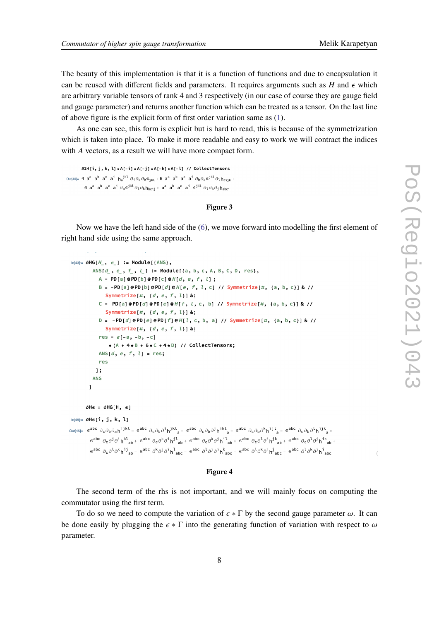The beauty of this implementation is that it is a function of functions and due to encapsulation it can be reused with different fields and parameters. It requires arguments such as  $H$  and  $\epsilon$  which are arbitrary variable tensors of rank 4 and 3 respectively (in our case of course they are gauge field and gauge parameter) and returns another function which can be treated as a tensor. On the last line of above figure is the explicit form of first order variation same as [\(1\)](#page-2-0).

As one can see, this form is explicit but is hard to read, this is because of the symmetrization which is taken into place. To make it more readable and easy to work we will contract the indices with A vectors, as a result we will have more compact form.

```
\delta 1H[i, j, k, l] * A[-i] * A[-j] * A[-k] * A[-l] // CollectTensors
Out[40]= 4 a<sup>a</sup> a<sup>b</sup> a<sup>c</sup> a<sup>i</sup> h<sub>a</sub><sup>jkl</sup> \partial_i \partial_c \partial_b \epsilon_{ikl} + 6 a<sup>a</sup> a<sup>b</sup> a<sup>c</sup> a<sup>i</sup> \partial_b \partial_a \epsilon^{jkl} \partial_l h_{cijk} +
                    4 a<sup>a</sup> a<sup>b</sup> a<sup>c</sup> a<sup>i</sup> \partial_a \in j^{kl} \partial_l \partial_k h_{bcij} + a^a a<sup>b</sup> a<sup>c</sup> a<sup>i</sup> \in j^{kl} \partial_l \partial_k \partial_j h_{abcj}
```
#### **Figure 3**

Now we have the left hand side of the [\(6\)](#page-2-3), we move forward into modelling the first element of right hand side using the same approach.

```
\ln[43] = \delta HG[H_ , \epsilon_ ] := Module[ANS],ANS[d_, e_, f_, l_] := Module[{a, b, c, A, B, C, D, res},
                   A = PD[a]@PD[b]@PD[c]@H[d, e, f, l];
                   B = -PD[a]@PD[b]@PD[d]@H[e, f, l, c] // Symmetrize[#, {a, b, c}] & //
                       Symmetrize[#, \{d, e, f, l\}] &;
                   C = PD[a]@PD[d]@PD[e]@H[f, l, c, b] // Symmetrize[#, {a, b, c}] & //
                       Symmetrize[#, \{d, e, f, l\}] &;
                   D = -PD[d] \circ PD[e] \circ PD[f] \circ H[l, c, b, a] // Symmetrize[#, {a, b, c}] & //
                       Symmetrize[#, {d, e, f, l}] &;
                   res = \varepsilon[-a, -b, -c]
                         * (A + 4*B + 6*C + 4*D) // CollectTensors;
                   ANS[d, e, f, l] = res;
                   res
                 \mathbf{1:}ANS
             \mathbf{I}\deltaHe = \deltaHG[H, e]
 ln[45]: = \delta He[i, j, k, l]_{0}ut[45]= \epsilon^{abc} \partial_c \partial_b \partial_a h^{ijk} – \epsilon^{abc} \partial_c \partial_b \partial^i h^{jkl}<sub>a</sub> – \epsilon^{abc} \partial_c \partial_b \partial^j h^{ikl}<sub>a</sub> – \epsilon^{abc} \partial_c \partial_b \partial^k h^{ijl}<sub>a</sub> – \epsilon^{abc} \partial_c \partial_b \partial^l h^{ijk}<sub>a</sub> +
             \epsilon^{abc} \partial_c \partial^j \partial^i h^{kl}_{ab} + \epsilon^{abc} \partial_c \partial^k \partial^i h^{jl}_{ab} + \epsilon^{abc} \partial_c \partial^k \partial^j h^{il}_{ab} + \epsilon^{abc} \partial_c \partial^l \partial^j h^{jk}_{ab} + \epsilon^{abc} \partial_c \partial^l \partial^j h^{ik}_{ab} +\epsilon^{abc} \partial_c \partial^l \partial^k h^{ij}{}_{ab} - \epsilon^{abc} \partial^k \partial^j \partial^i h^l{}_{abc} - \epsilon^{abc} \partial^l \partial^j \partial^i h^k{}_{abc} - \epsilon^{abc} \partial^l \partial^k \partial^j h^j{}_{abc} - \epsilon^{abc} \partial^l \partial^k \partial^j h^i{}_{abc}
```
#### **Figure 4**

The second term of the rhs is not important, and we will mainly focus on computing the commutator using the first term.

To do so we need to compute the variation of  $\epsilon * \Gamma$  by the second gauge parameter  $\omega$ . It can be done easily by plugging the  $\epsilon * \Gamma$  into the generating function of variation with respect to  $\omega$ parameter.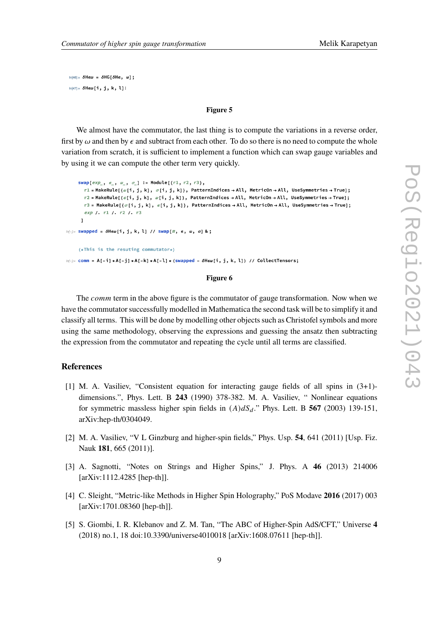$In[46]:= \delta$ Hew =  $\delta$ HG[ $\delta$ He, w];  $ln[47]: = \delta$ He $\omega$ [i, j, k, l]]

# **Figure 5**

We almost have the commutator, the last thing is to compute the variations in a reverse order, first by  $\omega$  and then by  $\epsilon$  and subtract from each other. To do so there is no need to compute the whole variation from scratch, it is sufficient to implement a function which can swap gauge variables and by using it we can compute the other term very quickly.

```
swap[exp_, \epsilon_, \omega_, \sigma_] := Module[{r1, r2, r3},
        r1 = MakeRule[{\omega[i, j, k], \sigma[i, j, k]}, PatternIndices → All, MetricOn → All, UseSymmetries → True];
       r2 = MakeRule[{\varepsilon[i, j, k], \omega[i, j, k]}, PatternIndices → All, MetricOn → All, UseSymmetries → True];
       r3 = MakeRule[{\sigma[i, j, k], \epsilon[i, j, k]}, PatternIndices → All, MetricOn → All, UseSymmetries → True];
       exp /. r1 /. r2 /. r3
      \mathbf{1}ln[1] swapped = \deltaHe\omega[i, j, k, l] // swap[\#, e, \omega, \sigma] &;
     (*This is the resulting commutator*)ln[\cdot] = comm = A[-i] *A[-j] *A[-k] *A[-l] * (swapped - \deltaHe\omega[i, j, k, l]) // CollectTensors;
```
#### **Figure 6**

The *comm* term in the above figure is the commutator of gauge transformation. Now when we have the commutator successfully modelled in Mathematica the second task will be to simplify it and classify all terms. This will be done by modelling other objects such as Christofel symbols and more using the same methodology, observing the expressions and guessing the ansatz then subtracting the expression from the commutator and repeating the cycle until all terms are classified.

# **References**

- <span id="page-8-0"></span>[1] M. A. Vasiliev, "Consistent equation for interacting gauge fields of all spins in (3+1) dimensions.", Phys. Lett. B **243** (1990) 378-382. M. A. Vasiliev, " Nonlinear equations for symmetric massless higher spin fields in  $(A)dS_d$ ." Phys. Lett. B 567 (2003) 139-151, arXiv:hep-th/0304049.
- [2] M. A. Vasiliev, "V L Ginzburg and higher-spin fields," Phys. Usp. **54**, 641 (2011) [Usp. Fiz. Nauk **181**, 665 (2011)].
- [3] A. Sagnotti, "Notes on Strings and Higher Spins," J. Phys. A **46** (2013) 214006 [arXiv:1112.4285 [hep-th]].
- [4] C. Sleight, "Metric-like Methods in Higher Spin Holography," PoS Modave **2016** (2017) 003 [arXiv:1701.08360 [hep-th]].
- [5] S. Giombi, I. R. Klebanov and Z. M. Tan, "The ABC of Higher-Spin AdS/CFT," Universe **4** (2018) no.1, 18 doi:10.3390/universe4010018 [arXiv:1608.07611 [hep-th]].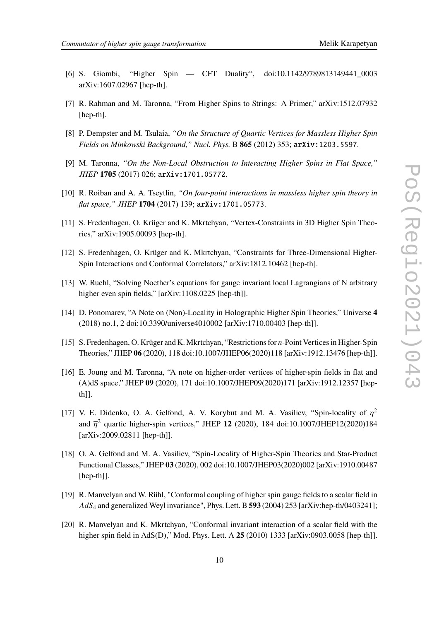- [6] S. Giombi, "Higher Spin CFT Duality", doi:10.1142/9789813149441\_0003 arXiv:1607.02967 [hep-th].
- <span id="page-9-0"></span>[7] R. Rahman and M. Taronna, "From Higher Spins to Strings: A Primer," arXiv:1512.07932 [hep-th].
- <span id="page-9-1"></span>[8] P. Dempster and M. Tsulaia, *"On the Structure of Quartic Vertices for Massless Higher Spin Fields on Minkowski Background," Nucl. Phys.* B **865** (2012) 353; arXiv:1203.5597.
- [9] M. Taronna, *"On the Non-Local Obstruction to Interacting Higher Spins in Flat Space," JHEP* **1705** (2017) 026; arXiv:1701.05772.
- [10] R. Roiban and A. A. Tseytlin, *"On four-point interactions in massless higher spin theory in flat space," JHEP* **1704** (2017) 139; arXiv:1701.05773.
- [11] S. Fredenhagen, O. Krüger and K. Mkrtchyan, "Vertex-Constraints in 3D Higher Spin Theories," arXiv:1905.00093 [hep-th].
- [12] S. Fredenhagen, O. Krüger and K. Mkrtchyan, "Constraints for Three-Dimensional Higher-Spin Interactions and Conformal Correlators," arXiv:1812.10462 [hep-th].
- [13] W. Ruehl, "Solving Noether's equations for gauge invariant local Lagrangians of N arbitrary higher even spin fields," [arXiv:1108.0225 [hep-th]].
- [14] D. Ponomarev, "A Note on (Non)-Locality in Holographic Higher Spin Theories," Universe **4** (2018) no.1, 2 doi:10.3390/universe4010002 [arXiv:1710.00403 [hep-th]].
- [15] S. Fredenhagen, O. Krüger and K. Mkrtchyan, "Restrictions for *n*-Point Vertices in Higher-Spin Theories," JHEP **06** (2020), 118 doi:10.1007/JHEP06(2020)118 [arXiv:1912.13476 [hep-th]].
- <span id="page-9-2"></span>[16] E. Joung and M. Taronna, "A note on higher-order vertices of higher-spin fields in flat and (A)dS space," JHEP **09** (2020), 171 doi:10.1007/JHEP09(2020)171 [arXiv:1912.12357 [hepth]].
- <span id="page-9-3"></span>[17] V. E. Didenko, O. A. Gelfond, A. V. Korybut and M. A. Vasiliev, "Spin-locality of  $\eta^2$ and  $\bar{\eta}^2$  quartic higher-spin vertices," JHEP 12 (2020), 184 doi:10.1007/JHEP12(2020)184 [arXiv:2009.02811 [hep-th]].
- <span id="page-9-4"></span>[18] O. A. Gelfond and M. A. Vasiliev, "Spin-Locality of Higher-Spin Theories and Star-Product Functional Classes," JHEP **03** (2020), 002 doi:10.1007/JHEP03(2020)002 [arXiv:1910.00487 [hep-th]].
- <span id="page-9-5"></span>[19] R. Manvelyan and W. Rühl, "Conformal coupling of higher spin gauge fields to a scalar field in <sup>4</sup> and generalized Weyl invariance", Phys. Lett. B **593** (2004) 253 [arXiv:hep-th/0403241];
- [20] R. Manvelyan and K. Mkrtchyan, "Conformal invariant interaction of a scalar field with the higher spin field in AdS(D)," Mod. Phys. Lett. A **25** (2010) 1333 [arXiv:0903.0058 [hep-th]].